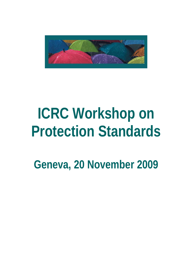

# **ICRC Workshop on Protection Standards**

**Geneva, 20 November 2009**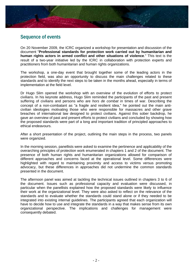

### **Sequence of events**

On 20 November 2009, the ICRC organized a workshop for presentation and discussion of the document "**Professional standards for protection work carried out by humanitarian and human rights actors in armed conflict and other situations of violence**." This text is the result of a two-year initiative led by the ICRC in collaboration with protection experts and practitioners from both humanitarian and human rights organizations.

The workshop, a one-day event that brought together some of the leading actors in the protection field, was also an opportunity to discuss the main challenges related to these standards and to identify the next steps to be taken in the months ahead, especially in terms of implementation at the field level.

Dr Hugo Slim opened the workshop with an overview of the evolution of efforts to protect civilians. In his keynote address, Hugo Slim reminded the participants of the past and present suffering of civilians and persons who are *hors de combat* in times of war. Describing the concept of a non-combatant as "a fragile and resilient idea," he pointed out the main anticivilian ideologies motivating those who were responsible for massacres and other grave breaches of international law designed to protect civilians. Against this sober backdrop, he gave an overview of past and present efforts to protect civilians and concluded by showing how the proposed standards were part of a long and important tradition of principled approaches to ethical endeavours.

After a short presentation of the project, outlining the main steps in the process, two panels were organized.

In the morning session, panellists were asked to examine the pertinence and applicability of the overarching principles of protection work enumerated in chapters 1 and 2 of the document. The presence of both human rights and humanitarian organizations allowed for comparison of different approaches and concerns faced at the operational level. Some differences were highlighted with regard to maintaining proximity and access to victims versus promoting advocacy, but these differences in approaches did not undermine the common standards presented in the document.

The afternoon panel was aimed at tackling the technical issues outlined in chapters 3 to 6 of the document. Issues such as professional capacity and evaluation were discussed, in particular when the panellists explained how the proposed standards were likely to influence their work at the organizational level. They were also asked to reflect on the relevance of the standards and to evaluate whether the standards could stand alone or if they needed to be integrated into existing internal guidelines. The participants agreed that each organization will have to decide how to use and integrate the standards in a way that makes sense from its own organizational perspective. The implications and challenges for management were consequently debated.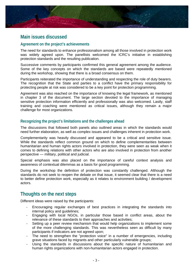

# **Main issues discussed**

#### **Agreement on the project's achievements**

The need for standards to enhance professionalism among all those involved in protection work was widely agreed upon. The panellists welcomed the ICRC's initiative in establishing protection standards and the resulting publication.

Successive comments by participants confirmed this general agreement among the audience. Some of the key concepts on which the standards are based were repeatedly mentioned during the workshop, showing that there is a broad consensus on them.

Participants reiterated the importance of understanding and respecting the role of duty bearers. The recognition that the State and parties to a conflict have the primary responsibility for protecting people at risk was considered to be a key point for protection programming.

Agreement was also reached on the importance of knowing the legal framework, as mentioned in chapter 3 of the document. The large section devoted to the importance of managing sensitive protection information efficiently and professionally was also welcomed. Lastly, staff training and coaching were mentioned as critical issues, although they remain a major challenge for most organizations.

#### **Recognizing the project's limitations and the challenges ahead**

The discussions that followed both panels also outlined areas in which the standards would need further elaboration, as well as complex issues and challenges inherent in protection work.

Complementarity was heavily discussed and appeared to be a critical and sensitive issue. While the standards reflect common ground on which to define complementarities between humanitarian and human rights actors involved in protection, they were seen as weak when it comes to defining relations with other actors who are also involved in protection from another perspective — military, political and judicial.

Special emphasis was also placed on the importance of careful context analysis and awareness of contextual dilemmas as a basis for good programming.

During the workshop the definition of protection was constantly challenged. Although the standards do not seek to reopen the debate on that issue, it seemed clear that there is a need to better define protection work, especially as it relates to environment building / development actors.

# **Thoughts on the next steps**

Different ideas were raised by the participants:

- Encouraging regular exchanges of best practices in integrating the standards into internal policy and guidelines;
- Engaging with local NGOs, in particular those based in conflict areas, about the relevance of these standards to their approaches and activities;
- Setting up a peer review mechanism that would help organizations to implement some of the more challenging standards. This was nevertheless seen as difficult by many participants if indicators are not agreed upon;
- The need to strengthen the "protection voice" in a number of emergencies, including grave situations faced by migrants and other particularly vulnerable groups;
- Using the standards in discussions about the specific nature of humanitarian and human rights organizations with non-humanitarian actors engaged in protection.